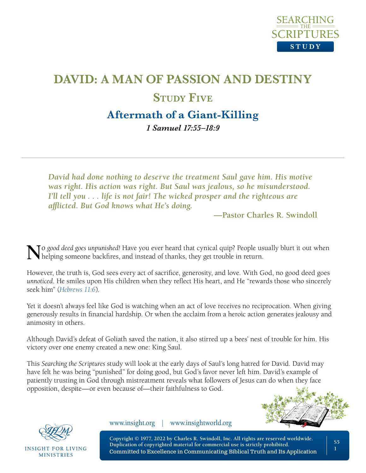

# **DAVID: A MAN OF PASSION AND DESTINY STUDY FIVE Aftermath of a Giant-Killing**

*1 Samuel 17:55–18:9* 

*David had done nothing to deserve the treatment Saul gave him. His motive was right. His action was right. But Saul was jealous, so he misunderstood. I'll tell you . . . life is not fair! The wicked prosper and the righteous are afflicted. But God knows what He's doing.*

**—Pastor Charles R. Swindoll**

**N***<sup>o</sup> good deed goes unpunished!* Have you ever heard that cynical quip? People usually blurt it out when helping someone backfires, and instead of thanks, they get trouble in return.

However, the truth is, God sees every act of sacrifice, generosity, and love. With God, no good deed goes *unnoticed*. He smiles upon His children when they reflect His heart, and He "rewards those who sincerely seek him" (*[Hebrews 11:6](https://www.biblegateway.com/passage/?search=Hebrews+11%3A6&version=NLT;NASB1995)*).

Yet it doesn't always feel like God is watching when an act of love receives no reciprocation. When giving generously results in financial hardship. Or when the acclaim from a heroic action generates jealousy and animosity in others.

Although David's defeat of Goliath saved the nation, it also stirred up a bees' nest of trouble for him. His victory over one enemy created a new one: King Saul.

This *Searching the Scriptures* study will look at the early days of Saul's long hatred for David. David may have felt he was being "punished" for doing good, but God's favor never left him. David's example of patiently trusting in God through mistreatment reveals what followers of Jesus can do when they face opposition, despite—or even because of—their faithfulness to God.





**INSIGHT FOR LIVING MINISTRIES** 

www.insight.org | www.insightworld.org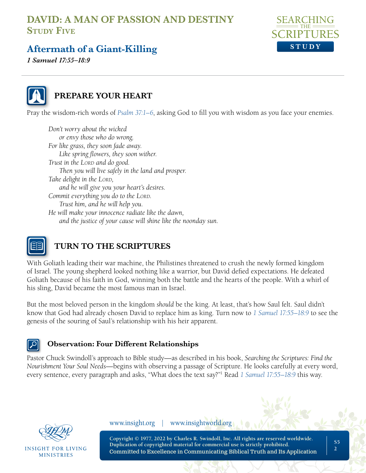

## **Aftermath of a Giant-Killing**

*1 Samuel 17:55–18:9* 



#### **PREPARE YOUR HEART**

Pray the wisdom-rich words of *[Psalm 37:1–6](https://www.biblegateway.com/passage/?search=Psalm+37&version=NLT;NASB1995)*, asking God to fill you with wisdom as you face your enemies.

*Don't worry about the wicked or envy those who do wrong. For like grass, they soon fade away. Like spring flowers, they soon wither. Trust in the Lord and do good. Then you will live safely in the land and prosper. Take delight in the LORD*, *and he will give you your heart's desires. Commit everything you do to the LORD. Trust him, and he will help you. He will make your innocence radiate like the dawn, and the justice of your cause will shine like the noonday sun.* 



## **TURN TO THE SCRIPTURES**

With Goliath leading their war machine, the Philistines threatened to crush the newly formed kingdom of Israel. The young shepherd looked nothing like a warrior, but David defied expectations. He defeated Goliath because of his faith in God, winning both the battle and the hearts of the people. With a whirl of his sling, David became the most famous man in Israel.

But the most beloved person in the kingdom *should* be the king. At least, that's how Saul felt. Saul didn't know that God had already chosen David to replace him as king. Turn now to *[1 Samuel 17:55–18:9](https://www.biblegateway.com/passage/?search=1+Samuel+17%3A55%E2%80%9318%3A9+&version=NLT;NASB1995)* to see the genesis of the souring of Saul's relationship with his heir apparent.

#### **Observation: Four Different Relationships**

Pastor Chuck Swindoll's approach to Bible study—as described in his book, *Searching the Scriptures: Find the Nourishment Your Soul Needs*—begins with observing a passage of Scripture. He looks carefully at every word, every sentence, every paragraph and asks, "What does the text say?"1 Read *[1 Samuel 17:55–18:9](https://www.biblegateway.com/passage/?search=1+Samuel+17%3A55%E2%80%9318%3A9+&version=NLT;NASB1995)* this way.



INSIGHT FOR LIVING **MINISTRIES** 

www.insight.org | www.insightworld.org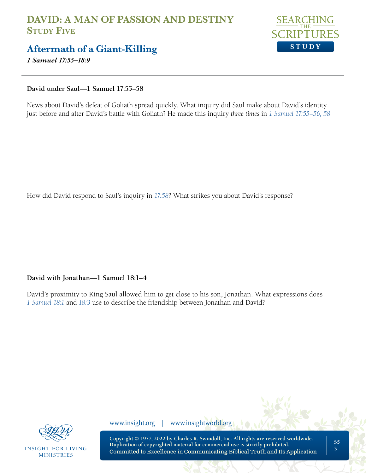

#### **Aftermath of a Giant-Killing**

*1 Samuel 17:55–18:9* 

**David under Saul—1 Samuel 17:55–58**

News about David's defeat of Goliath spread quickly. What inquiry did Saul make about David's identity just before and after David's battle with Goliath? He made this inquiry *three times* in *[1 Samuel 17:55–56, 58](https://www.biblegateway.com/passage/?search=1+Samuel+17%3A55-56%2C+58&version=NLT;NASB1995)*.

How did David respond to Saul's inquiry in *[17:58](https://www.biblegateway.com/passage/?search=1+Samuel+17%3A58&version=NLT;NASB1995)*? What strikes you about David's response?

#### **David with Jonathan—1 Samuel 18:1–4**

David's proximity to King Saul allowed him to get close to his son, Jonathan. What expressions does *[1 Samuel 18:1](https://www.biblegateway.com/passage/?search=1+Samuel+18%3A1%2C+3+&version=NLT;NASB1995)* and *18:3* use to describe the friendship between Jonathan and David?



**INSIGHT FOR LIVING MINISTRIES** 

www.insight.org | www.insightworld.org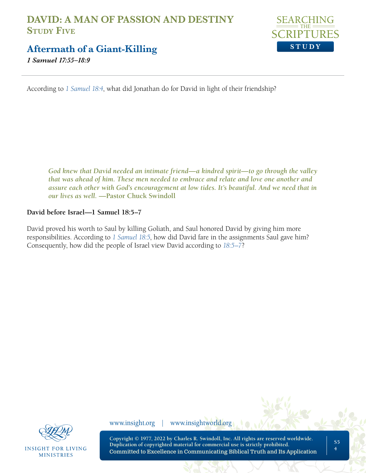

**Aftermath of a Giant-Killing**

*1 Samuel 17:55–18:9* 

According to *[1 Samuel 18:4](https://www.biblegateway.com/passage/?search=1+Samuel+18%3A4&version=NLT;NASB1995)*, what did Jonathan do for David in light of their friendship?

*God knew that David needed an intimate friend—a kindred spirit—to go through the valley that was ahead of him. These men needed to embrace and relate and love one another and assure each other with God's encouragement at low tides. It's beautiful. And we need that in our lives as well.* **—Pastor Chuck Swindoll**

#### **David before Israel—1 Samuel 18:5–7**

David proved his worth to Saul by killing Goliath, and Saul honored David by giving him more responsibilities. According to *[1 Samuel 18:5](https://www.biblegateway.com/passage/?search=1+Samuel+18%3A5&version=NLT;NASB1995)*, how did David fare in the assignments Saul gave him? Consequently, how did the people of Israel view David according to *[18:5–7](https://www.biblegateway.com/passage/?search=1+Samuel+18%3A5%E2%80%937&version=NLT;NASB1995)*?



**INSIGHT FOR LIVING MINISTRIES** 

www.insight.org | www.insightworld.org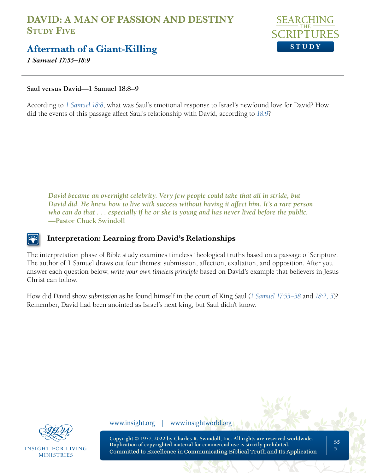

#### **Aftermath of a Giant-Killing**

*1 Samuel 17:55–18:9* 

#### **Saul versus David—1 Samuel 18:8–9**

According to *[1 Samuel 18:8](https://www.biblegateway.com/passage/?search=1+Samuel+18%3A8&version=NLT;NASB1995)*, what was Saul's emotional response to Israel's newfound love for David? How did the events of this passage affect Saul's relationship with David, according to *[18:9](https://www.biblegateway.com/passage/?search=1+Samuel+18%3A9&version=NLT;NASB1995)*?

*David became an overnight celebrity. Very few people could take that all in stride, but David did. He knew how to live with success without having it affect him. It's a rare person who can do that . . . especially if he or she is young and has never lived before the public.*  **—Pastor Chuck Swindoll**

#### **Interpretation: Learning from David's Relationships**

The interpretation phase of Bible study examines timeless theological truths based on a passage of Scripture. The author of 1 Samuel draws out four themes: submission, affection, exaltation, and opposition. After you answer each question below, *write your own timeless principle* based on David's example that believers in Jesus Christ can follow.

How did David show *submission* as he found himself in the court of King Saul (*[1 Samuel 17:55–58](https://www.biblegateway.com/passage/?search=1+Samuel+17%3A55-58&version=NLT;NASB1995)* and *[18:2, 5](https://www.biblegateway.com/passage/?search=1+Samuel+18%3A2-5&version=NLT;NASB1995)*)? Remember, David had been anointed as Israel's next king, but Saul didn't know.



**INSIGHT FOR LIVING MINISTRIES** 

www.insight.org | www.insightworld.org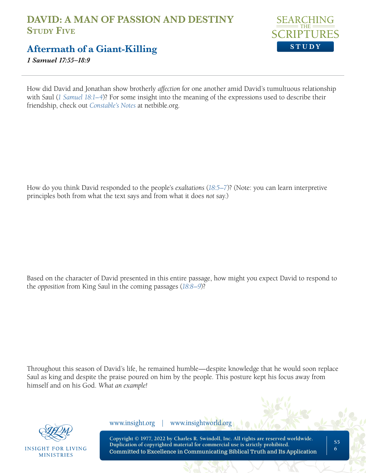

## **Aftermath of a Giant-Killing**

*1 Samuel 17:55–18:9* 

How did David and Jonathan show brotherly *affection* for one another amid David's tumultuous relationship with Saul (*[1 Samuel 18:1–4](https://www.biblegateway.com/passage/?search=1+Samuel+18%3A1-4&version=NLT;NASB1995)*)? For some insight into the meaning of the expressions used to describe their friendship, check out *[Constable's Notes](https://netbible.org/bible/1+Samuel+18)* at netbible.org.

How do you think David responded to the people's *exaltations* (*[18:5–7](https://www.biblegateway.com/passage/?search=1+Samuel+18%3A5-7&version=NLT;NASB1995)*)? (Note: you can learn interpretive principles both from what the text says and from what it does *not* say.)

Based on the character of David presented in this entire passage, how might you expect David to respond to the *opposition* from King Saul in the coming passages (*[18:8–9](https://www.biblegateway.com/passage/?search=1+Samuel+18%3A8-9&version=NLT;NASB1995)*)?

Throughout this season of David's life, he remained humble—despite knowledge that he would soon replace Saul as king and despite the praise poured on him by the people. This posture kept his focus away from himself and on his God. *What an example!*



**INSIGHT FOR LIVING MINISTRIES** 

www.insight.org | www.insightworld.org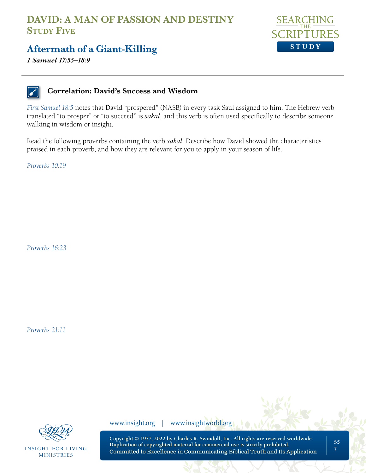

## **Aftermath of a Giant-Killing**

*1 Samuel 17:55–18:9* 



#### **Correlation: David's Success and Wisdom**

*[First Samuel 18:5](https://www.biblegateway.com/passage/?search=1+Samuel+18%3A5&version=NLT;NASB1995)* notes that David "prospered" (NASB) in every task Saul assigned to him. The Hebrew verb translated "to prosper" or "to succeed" is *sakal*, and this verb is often used specifically to describe someone walking in wisdom or insight.

Read the following proverbs containing the verb *sakal*. Describe how David showed the characteristics praised in each proverb, and how they are relevant for you to apply in your season of life.

*[Proverbs 10:19](https://www.biblegateway.com/passage/?search=Proverbs+10%3A19&version=NLT;NASB1995)*

*[Proverbs 16:23](https://www.biblegateway.com/passage/?search=Proverbs+16%3A23&version=NLT;NASB1995)*

*[Proverbs 21:11](https://www.biblegateway.com/passage/?search=Proverbs+21%3A11&version=NLT;NASB1995)*



**INSIGHT FOR LIVING MINISTRIES** 

www.insight.org | www.insightworld.org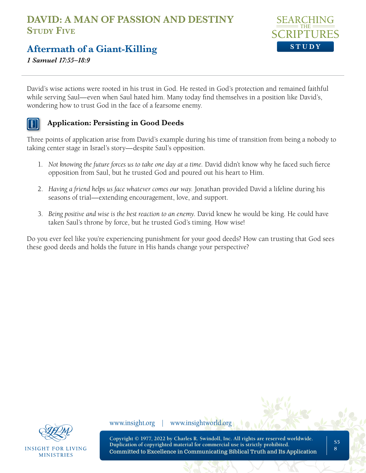

## **Aftermath of a Giant-Killing**

*1 Samuel 17:55–18:9* 

David's wise actions were rooted in his trust in God. He rested in God's protection and remained faithful while serving Saul—even when Saul hated him. Many today find themselves in a position like David's, wondering how to trust God in the face of a fearsome enemy.

#### **Application: Persisting in Good Deeds**

Three points of application arise from David's example during his time of transition from being a nobody to taking center stage in Israel's story—despite Saul's opposition.

- 1. *Not knowing the future forces us to take one day at a time.* David didn't know why he faced such fierce opposition from Saul, but he trusted God and poured out his heart to Him.
- 2. *Having a friend helps us face whatever comes our way.* Jonathan provided David a lifeline during his seasons of trial—extending encouragement, love, and support.
- 3. *Being positive and wise is the best reaction to an enemy.* David knew he would be king. He could have taken Saul's throne by force, but he trusted God's timing. How wise!

Do you ever feel like you're experiencing punishment for your good deeds? How can trusting that God sees these good deeds and holds the future in His hands change your perspective?



**INSIGHT FOR LIVING MINISTRIES** 

www.insight.org | www.insightworld.org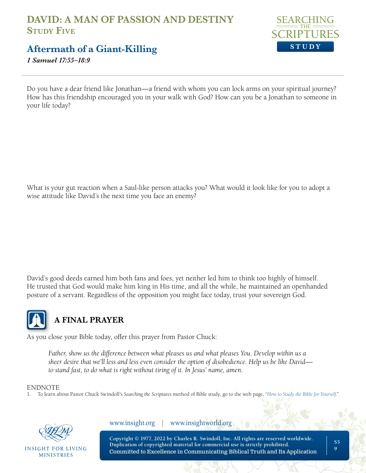

## **Aftermath of a Giant-Killing**

*1 Samuel 17:55–18:9* 

Do you have a dear friend like Jonathan—a friend with whom you can lock arms on your spiritual journey? How has this friendship encouraged you in your walk with God? How can you be a Jonathan to someone in your life today?

What is your gut reaction when a Saul-like person attacks you? What would it look like for you to adopt a wise attitude like David's the next time you face an enemy?

David's good deeds earned him both fans and foes, yet neither led him to think too highly of himself. He trusted that God would make him king in His time, and all the while, he maintained an openhanded posture of a servant. Regardless of the opposition you might face today, trust your sovereign God.



## **A FINAL PRAYER**

As you close your Bible today, offer this prayer from Pastor Chuck:

*Father, show us the difference between what pleases us and what pleases You. Develop within us a sheer desire that we'll less and less even consider the option of disobedience. Help us be like David to stand fast, to do what is right without tiring of it. In Jesus' name, amen.*

#### ENDNOTE

1. To learn about Pastor Chuck Swindoll's *Searching the Scriptures* method of Bible study, go to the web page, "*[How to Study the Bible for Yourself](https://sts.insight.org/)*."



INSIGHT FOR LIVING **MINISTRIES** 

www.insight.org | www.insightworld.org